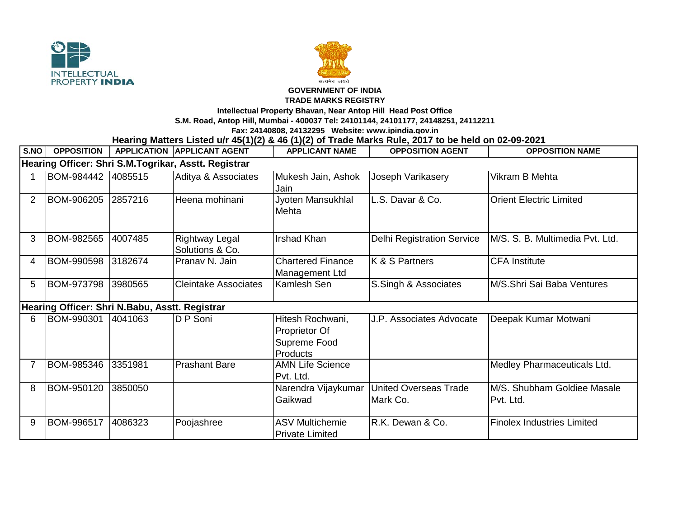



## **GOVERNMENT OF INDIA**

## **TRADE MARKS REGISTRY**

**Intellectual Property Bhavan, Near Antop Hill Head Post Office**

**S.M. Road, Antop Hill, Mumbai - 400037 Tel: 24101144, 24101177, 24148251, 24112211**

**Fax: 24140808, 24132295 Website: www.ipindia.gov.in**

**Hearing Matters Listed u/r 45(1)(2) & 46 (1)(2) of Trade Marks Rule, 2017 to be held on 02-09-2021** 

| S.NO                                                 | <b>OPPOSITION</b> |         | <b>APPLICATION APPLICANT AGENT</b> | <b>APPLICANT NAME</b>                                         | <b>OPPOSITION AGENT</b>                  | <b>OPPOSITION NAME</b>                   |  |  |  |  |  |
|------------------------------------------------------|-------------------|---------|------------------------------------|---------------------------------------------------------------|------------------------------------------|------------------------------------------|--|--|--|--|--|
| Hearing Officer: Shri S.M.Togrikar, Asstt. Registrar |                   |         |                                    |                                                               |                                          |                                          |  |  |  |  |  |
|                                                      | BOM-984442        | 4085515 | Aditya & Associates                | Mukesh Jain, Ashok<br>Jain                                    | Joseph Varikasery                        | Vikram B Mehta                           |  |  |  |  |  |
| 2                                                    | BOM-906205        | 2857216 | Heena mohinani                     | Jyoten Mansukhlal<br>Mehta                                    | L.S. Davar & Co.                         | <b>Orient Electric Limited</b>           |  |  |  |  |  |
| 3                                                    | BOM-982565        | 4007485 | Rightway Legal<br>Solutions & Co.  | Irshad Khan                                                   | <b>Delhi Registration Service</b>        | M/S. S. B. Multimedia Pvt. Ltd.          |  |  |  |  |  |
| 4                                                    | BOM-990598        | 3182674 | Pranav N. Jain                     | <b>Chartered Finance</b><br>Management Ltd                    | K & S Partners                           | <b>CFA</b> Institute                     |  |  |  |  |  |
| 5                                                    | BOM-973798        | 3980565 | <b>Cleintake Associates</b>        | Kamlesh Sen                                                   | S.Singh & Associates                     | M/S.Shri Sai Baba Ventures               |  |  |  |  |  |
| Hearing Officer: Shri N.Babu, Asstt. Registrar       |                   |         |                                    |                                                               |                                          |                                          |  |  |  |  |  |
| 6                                                    | BOM-990301        | 4041063 | D P Soni                           | Hitesh Rochwani,<br>Proprietor Of<br>Supreme Food<br>Products | J.P. Associates Advocate                 | Deepak Kumar Motwani                     |  |  |  |  |  |
|                                                      | BOM-985346        | 3351981 | <b>Prashant Bare</b>               | <b>AMN Life Science</b><br>Pvt. Ltd.                          |                                          | Medley Pharmaceuticals Ltd.              |  |  |  |  |  |
| 8                                                    | BOM-950120        | 3850050 |                                    | Narendra Vijaykumar<br>Gaikwad                                | <b>United Overseas Trade</b><br>Mark Co. | M/S. Shubham Goldiee Masale<br>Pvt. Ltd. |  |  |  |  |  |
| 9                                                    | BOM-996517        | 4086323 | Poojashree                         | <b>ASV Multichemie</b><br><b>Private Limited</b>              | R.K. Dewan & Co.                         | <b>Finolex Industries Limited</b>        |  |  |  |  |  |